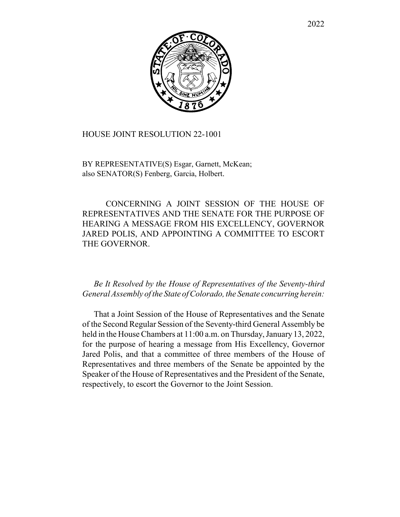

## HOUSE JOINT RESOLUTION 22-1001

BY REPRESENTATIVE(S) Esgar, Garnett, McKean; also SENATOR(S) Fenberg, Garcia, Holbert.

CONCERNING A JOINT SESSION OF THE HOUSE OF REPRESENTATIVES AND THE SENATE FOR THE PURPOSE OF HEARING A MESSAGE FROM HIS EXCELLENCY, GOVERNOR JARED POLIS, AND APPOINTING A COMMITTEE TO ESCORT THE GOVERNOR.

## *Be It Resolved by the House of Representatives of the Seventy-third General Assembly of the State of Colorado, the Senate concurring herein:*

That a Joint Session of the House of Representatives and the Senate of the Second Regular Session of the Seventy-third General Assembly be held in the House Chambers at 11:00 a.m. on Thursday, January 13, 2022, for the purpose of hearing a message from His Excellency, Governor Jared Polis, and that a committee of three members of the House of Representatives and three members of the Senate be appointed by the Speaker of the House of Representatives and the President of the Senate, respectively, to escort the Governor to the Joint Session.